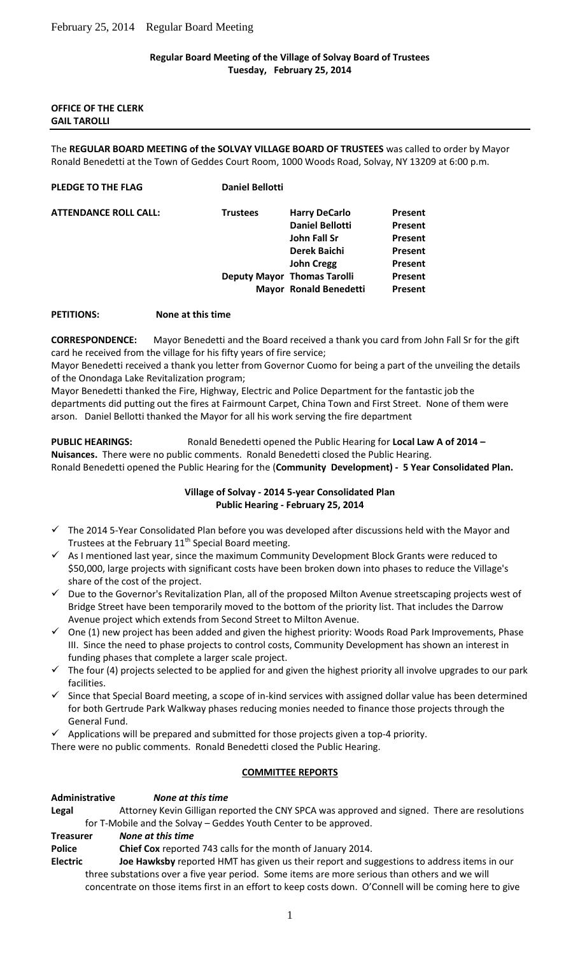### **Regular Board Meeting of the Village of Solvay Board of Trustees Tuesday, February 25, 2014**

#### **OFFICE OF THE CLERK GAIL TAROLLI**

The **REGULAR BOARD MEETING of the SOLVAY VILLAGE BOARD OF TRUSTEES** was called to order by Mayor Ronald Benedetti at the Town of Geddes Court Room, 1000 Woods Road, Solvay, NY 13209 at 6:00 p.m.

#### **PLEDGE TO THE FLAG Daniel Bellotti**

**ATTENDANCE R** 

| OLL CALL: | <b>Trustees</b> | <b>Harry DeCarlo</b>               | <b>Present</b> |
|-----------|-----------------|------------------------------------|----------------|
|           |                 | <b>Daniel Bellotti</b>             | Present        |
|           |                 | John Fall Sr                       | <b>Present</b> |
|           |                 | <b>Derek Baichi</b>                | Present        |
|           |                 | <b>John Cregg</b>                  | <b>Present</b> |
|           |                 | <b>Deputy Mayor Thomas Tarolli</b> | Present        |
|           |                 | Mayor Ronald Benedetti             | Present        |
|           |                 |                                    |                |

### **PETITIONS: None at this time**

**CORRESPONDENCE:** Mayor Benedetti and the Board received a thank you card from John Fall Sr for the gift card he received from the village for his fifty years of fire service;

Mayor Benedetti received a thank you letter from Governor Cuomo for being a part of the unveiling the details of the Onondaga Lake Revitalization program;

Mayor Benedetti thanked the Fire, Highway, Electric and Police Department for the fantastic job the departments did putting out the fires at Fairmount Carpet, China Town and First Street. None of them were arson. Daniel Bellotti thanked the Mayor for all his work serving the fire department

**PUBLIC HEARINGS:** Ronald Benedetti opened the Public Hearing for **Local Law A of 2014 – Nuisances.** There were no public comments. Ronald Benedetti closed the Public Hearing. Ronald Benedetti opened the Public Hearing for the (**Community Development) - 5 Year Consolidated Plan.**

# **Village of Solvay - 2014 5-year Consolidated Plan Public Hearing - February 25, 2014**

- The 2014 5-Year Consolidated Plan before you was developed after discussions held with the Mayor and Trustees at the February 11<sup>th</sup> Special Board meeting.
- As I mentioned last year, since the maximum Community Development Block Grants were reduced to \$50,000, large projects with significant costs have been broken down into phases to reduce the Village's share of the cost of the project.
- $\checkmark$  Due to the Governor's Revitalization Plan, all of the proposed Milton Avenue streetscaping projects west of Bridge Street have been temporarily moved to the bottom of the priority list. That includes the Darrow Avenue project which extends from Second Street to Milton Avenue.
- One (1) new project has been added and given the highest priority: Woods Road Park Improvements, Phase III. Since the need to phase projects to control costs, Community Development has shown an interest in funding phases that complete a larger scale project.
- The four (4) projects selected to be applied for and given the highest priority all involve upgrades to our park facilities.
- Since that Special Board meeting, a scope of in-kind services with assigned dollar value has been determined for both Gertrude Park Walkway phases reducing monies needed to finance those projects through the General Fund.
- Applications will be prepared and submitted for those projects given a top-4 priority.
- There were no public comments. Ronald Benedetti closed the Public Hearing.

# **COMMITTEE REPORTS**

#### **Administrative** *None at this time*

**Legal** Attorney Kevin Gilligan reported the CNY SPCA was approved and signed. There are resolutions for T-Mobile and the Solvay – Geddes Youth Center to be approved.

- **Treasurer** *None at this time*
- **Police Chief Cox** reported 743 calls for the month of January 2014.
- **Electric Joe Hawksby** reported HMT has given us their report and suggestions to address items in our three substations over a five year period. Some items are more serious than others and we will concentrate on those items first in an effort to keep costs down. O'Connell will be coming here to give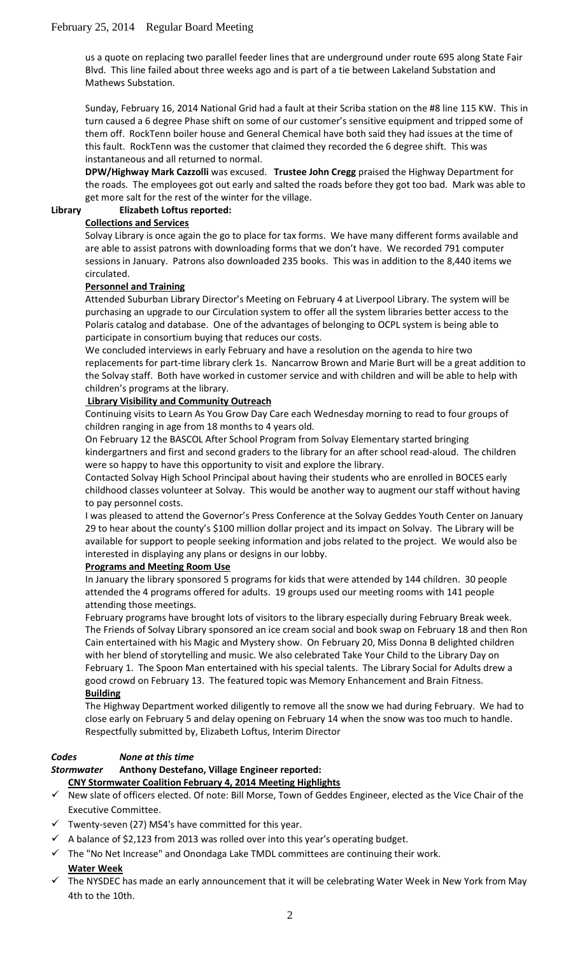us a quote on replacing two parallel feeder lines that are underground under route 695 along State Fair Blvd. This line failed about three weeks ago and is part of a tie between Lakeland Substation and Mathews Substation.

Sunday, February 16, 2014 National Grid had a fault at their Scriba station on the #8 line 115 KW. This in turn caused a 6 degree Phase shift on some of our customer's sensitive equipment and tripped some of them off. RockTenn boiler house and General Chemical have both said they had issues at the time of this fault. RockTenn was the customer that claimed they recorded the 6 degree shift. This was instantaneous and all returned to normal.

**DPW/Highway Mark Cazzolli** was excused. **Trustee John Cregg** praised the Highway Department for the roads. The employees got out early and salted the roads before they got too bad. Mark was able to get more salt for the rest of the winter for the village.

#### **Library Elizabeth Loftus reported:**

### **Collections and Services**

Solvay Library is once again the go to place for tax forms. We have many different forms available and are able to assist patrons with downloading forms that we don't have. We recorded 791 computer sessions in January. Patrons also downloaded 235 books. This was in addition to the 8,440 items we circulated.

### **Personnel and Training**

Attended Suburban Library Director's Meeting on February 4 at Liverpool Library. The system will be purchasing an upgrade to our Circulation system to offer all the system libraries better access to the Polaris catalog and database. One of the advantages of belonging to OCPL system is being able to participate in consortium buying that reduces our costs.

We concluded interviews in early February and have a resolution on the agenda to hire two replacements for part-time library clerk 1s. Nancarrow Brown and Marie Burt will be a great addition to the Solvay staff. Both have worked in customer service and with children and will be able to help with children's programs at the library.

### **Library Visibility and Community Outreach**

Continuing visits to Learn As You Grow Day Care each Wednesday morning to read to four groups of children ranging in age from 18 months to 4 years old.

On February 12 the BASCOL After School Program from Solvay Elementary started bringing kindergartners and first and second graders to the library for an after school read-aloud. The children were so happy to have this opportunity to visit and explore the library.

Contacted Solvay High School Principal about having their students who are enrolled in BOCES early childhood classes volunteer at Solvay. This would be another way to augment our staff without having to pay personnel costs.

I was pleased to attend the Governor's Press Conference at the Solvay Geddes Youth Center on January 29 to hear about the county's \$100 million dollar project and its impact on Solvay. The Library will be available for support to people seeking information and jobs related to the project. We would also be interested in displaying any plans or designs in our lobby.

# **Programs and Meeting Room Use**

In January the library sponsored 5 programs for kids that were attended by 144 children. 30 people attended the 4 programs offered for adults. 19 groups used our meeting rooms with 141 people attending those meetings.

February programs have brought lots of visitors to the library especially during February Break week. The Friends of Solvay Library sponsored an ice cream social and book swap on February 18 and then Ron Cain entertained with his Magic and Mystery show. On February 20, Miss Donna B delighted children with her blend of storytelling and music. We also celebrated Take Your Child to the Library Day on February 1. The Spoon Man entertained with his special talents. The Library Social for Adults drew a good crowd on February 13. The featured topic was Memory Enhancement and Brain Fitness. **Building**

The Highway Department worked diligently to remove all the snow we had during February. We had to close early on February 5 and delay opening on February 14 when the snow was too much to handle. Respectfully submitted by, Elizabeth Loftus, Interim Director

# *Codes None at this time*

# *Stormwater* **Anthony Destefano, Village Engineer reported:**

**CNY Stormwater Coalition February 4, 2014 Meeting Highlights**

- $\checkmark$  New slate of officers elected. Of note: Bill Morse, Town of Geddes Engineer, elected as the Vice Chair of the Executive Committee.
- Twenty-seven (27) MS4's have committed for this year.
- $\checkmark$  A balance of \$2,123 from 2013 was rolled over into this year's operating budget.
- $\checkmark$  The "No Net Increase" and Onondaga Lake TMDL committees are continuing their work. **Water Week**
- The NYSDEC has made an early announcement that it will be celebrating Water Week in New York from May 4th to the 10th.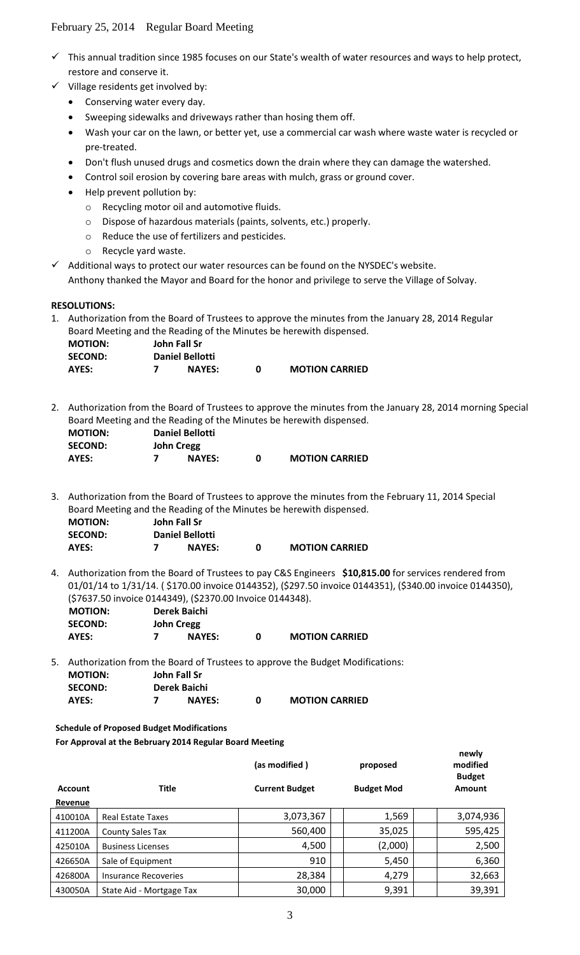- $\checkmark$  This annual tradition since 1985 focuses on our State's wealth of water resources and ways to help protect, restore and conserve it.
- $\checkmark$  Village residents get involved by:
	- Conserving water every day.
	- Sweeping sidewalks and driveways rather than hosing them off.
	- Wash your car on the lawn, or better yet, use a commercial car wash where waste water is recycled or pre-treated.
	- Don't flush unused drugs and cosmetics down the drain where they can damage the watershed.
	- Control soil erosion by covering bare areas with mulch, grass or ground cover.
	- Help prevent pollution by:
		- o Recycling motor oil and automotive fluids.
		- o Dispose of hazardous materials (paints, solvents, etc.) properly.
		- o Reduce the use of fertilizers and pesticides.
		- o Recycle yard waste.
- $\checkmark$  Additional ways to protect our water resources can be found on the NYSDEC's website. Anthony thanked the Mayor and Board for the honor and privilege to serve the Village of Solvay.

### **RESOLUTIONS:**

1. Authorization from the Board of Trustees to approve the minutes from the January 28, 2014 Regular Board Meeting and the Reading of the Minutes be herewith dispensed.

| <b>MOTION:</b> | John Fall Sr           |               |                       |
|----------------|------------------------|---------------|-----------------------|
| <b>SECOND:</b> | <b>Daniel Bellotti</b> |               |                       |
| AYES:          |                        | <b>NAYES:</b> | <b>MOTION CARRIED</b> |

2. Authorization from the Board of Trustees to approve the minutes from the January 28, 2014 morning Special Board Meeting and the Reading of the Minutes be herewith dispensed.

| <b>MOTION:</b> | <b>Daniel Bellotti</b> |                       |
|----------------|------------------------|-----------------------|
| <b>SECOND:</b> | <b>John Cregg</b>      |                       |
| AYES:          | <b>NAYES:</b>          | <b>MOTION CARRIED</b> |

3. Authorization from the Board of Trustees to approve the minutes from the February 11, 2014 Special Board Meeting and the Reading of the Minutes be herewith dispensed.

| <b>MOTION:</b> | John Fall Sr           |                       |
|----------------|------------------------|-----------------------|
| <b>SECOND:</b> | <b>Daniel Bellotti</b> |                       |
| AYES:          | <b>NAYES:</b>          | <b>MOTION CARRIED</b> |

4. Authorization from the Board of Trustees to pay C&S Engineers **\$10,815.00** for services rendered from 01/01/14 to 1/31/14. ( \$170.00 invoice 0144352), (\$297.50 invoice 0144351), (\$340.00 invoice 0144350), (\$7637.50 invoice 0144349), (\$2370.00 Invoice 0144348).

| <b>MOTION:</b> | Derek Baichi      |               |   |                       |
|----------------|-------------------|---------------|---|-----------------------|
| <b>SECOND:</b> | <b>John Cregg</b> |               |   |                       |
| AYES:          |                   | <b>NAYES:</b> | n | <b>MOTION CARRIED</b> |

5. Authorization from the Board of Trustees to approve the Budget Modifications: **MOTION: John Fall Sr SECOND: Derek Baichi AYES: 7 NAYES: 0 MOTION CARRIED**

**Schedule of Proposed Budget Modifications**

**For Approval at the Bebruary 2014 Regular Board Meeting**

|                |                             | (as modified)         | proposed          | modified<br><b>Budget</b> |
|----------------|-----------------------------|-----------------------|-------------------|---------------------------|
| <b>Account</b> | Title                       | <b>Current Budget</b> | <b>Budget Mod</b> | Amount                    |
| Revenue        |                             |                       |                   |                           |
| 410010A        | <b>Real Estate Taxes</b>    | 3,073,367             | 1,569             | 3,074,936                 |
| 411200A        | <b>County Sales Tax</b>     | 560,400               | 35,025            | 595,425                   |
| 425010A        | <b>Business Licenses</b>    | 4,500                 | (2,000)           | 2,500                     |
| 426650A        | Sale of Equipment           | 910                   | 5,450             | 6,360                     |
| 426800A        | <b>Insurance Recoveries</b> | 28,384                | 4,279             | 32,663                    |
| 430050A        | State Aid - Mortgage Tax    | 30,000                | 9,391             | 39,391                    |

**newly**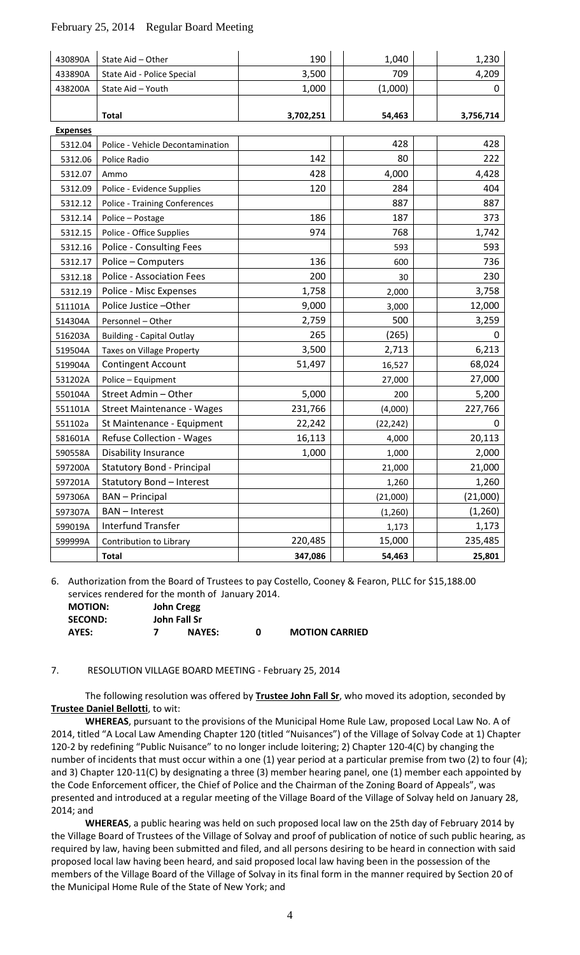| 430890A         | State Aid - Other                 | 190       | 1,040     | 1,230     |
|-----------------|-----------------------------------|-----------|-----------|-----------|
| 433890A         | State Aid - Police Special        | 3,500     | 709       | 4,209     |
| 438200A         | State Aid - Youth                 | 1,000     | (1,000)   | 0         |
|                 |                                   |           |           |           |
|                 | <b>Total</b>                      | 3,702,251 | 54,463    | 3,756,714 |
| <b>Expenses</b> |                                   |           |           |           |
| 5312.04         | Police - Vehicle Decontamination  |           | 428       | 428       |
| 5312.06         | Police Radio                      | 142       | 80        | 222       |
| 5312.07         | Ammo                              | 428       | 4,000     | 4,428     |
| 5312.09         | Police - Evidence Supplies        | 120       | 284       | 404       |
| 5312.12         | Police - Training Conferences     |           | 887       | 887       |
| 5312.14         | Police - Postage                  | 186       | 187       | 373       |
| 5312.15         | Police - Office Supplies          | 974       | 768       | 1,742     |
| 5312.16         | Police - Consulting Fees          |           | 593       | 593       |
| 5312.17         | Police - Computers                | 136       | 600       | 736       |
| 5312.18         | Police - Association Fees         | 200       | 30        | 230       |
| 5312.19         | Police - Misc Expenses            | 1,758     | 2,000     | 3,758     |
| 511101A         | Police Justice - Other            | 9,000     | 3,000     | 12,000    |
| 514304A         | Personnel - Other                 | 2,759     | 500       | 3,259     |
| 516203A         | <b>Building - Capital Outlay</b>  | 265       | (265)     | 0         |
| 519504A         | Taxes on Village Property         | 3,500     | 2,713     | 6,213     |
| 519904A         | <b>Contingent Account</b>         | 51,497    | 16,527    | 68,024    |
| 531202A         | Police - Equipment                |           | 27,000    | 27,000    |
| 550104A         | Street Admin - Other              | 5,000     | 200       | 5,200     |
| 551101A         | <b>Street Maintenance - Wages</b> | 231,766   | (4,000)   | 227,766   |
| 551102a         | St Maintenance - Equipment        | 22,242    | (22, 242) | 0         |
| 581601A         | Refuse Collection - Wages         | 16,113    | 4,000     | 20,113    |
| 590558A         | <b>Disability Insurance</b>       | 1,000     | 1,000     | 2,000     |
| 597200A         | <b>Statutory Bond - Principal</b> |           | 21,000    | 21,000    |
| 597201A         | Statutory Bond - Interest         |           | 1,260     | 1,260     |
| 597306A         | <b>BAN</b> - Principal            |           | (21,000)  | (21,000)  |
| 597307A         | <b>BAN-Interest</b>               |           | (1, 260)  | (1,260)   |
| 599019A         | Interfund Transfer                |           | 1,173     | 1,173     |
| 599999A         | Contribution to Library           | 220,485   | 15,000    | 235,485   |
|                 | <b>Total</b>                      | 347,086   | 54,463    | 25,801    |

6. Authorization from the Board of Trustees to pay Costello, Cooney & Fearon, PLLC for \$15,188.00 services rendered for the month of January 2014.

| <b>MOTION:</b> | <b>John Cregg</b>   |   |                       |
|----------------|---------------------|---|-----------------------|
| <b>SECOND:</b> | <b>John Fall Sr</b> |   |                       |
| AYES:          | <b>NAYES:</b>       | n | <b>MOTION CARRIED</b> |

#### 7. RESOLUTION VILLAGE BOARD MEETING - February 25, 2014

The following resolution was offered by **Trustee John Fall Sr**, who moved its adoption, seconded by **Trustee Daniel Bellotti**, to wit:

**WHEREAS**, pursuant to the provisions of the Municipal Home Rule Law, proposed Local Law No. A of 2014, titled "A Local Law Amending Chapter 120 (titled "Nuisances") of the Village of Solvay Code at 1) Chapter 120-2 by redefining "Public Nuisance" to no longer include loitering; 2) Chapter 120-4(C) by changing the number of incidents that must occur within a one (1) year period at a particular premise from two (2) to four (4); and 3) Chapter 120-11(C) by designating a three (3) member hearing panel, one (1) member each appointed by the Code Enforcement officer, the Chief of Police and the Chairman of the Zoning Board of Appeals", was presented and introduced at a regular meeting of the Village Board of the Village of Solvay held on January 28, 2014; and

**WHEREAS**, a public hearing was held on such proposed local law on the 25th day of February 2014 by the Village Board of Trustees of the Village of Solvay and proof of publication of notice of such public hearing, as required by law, having been submitted and filed, and all persons desiring to be heard in connection with said proposed local law having been heard, and said proposed local law having been in the possession of the members of the Village Board of the Village of Solvay in its final form in the manner required by Section 20 of the Municipal Home Rule of the State of New York; and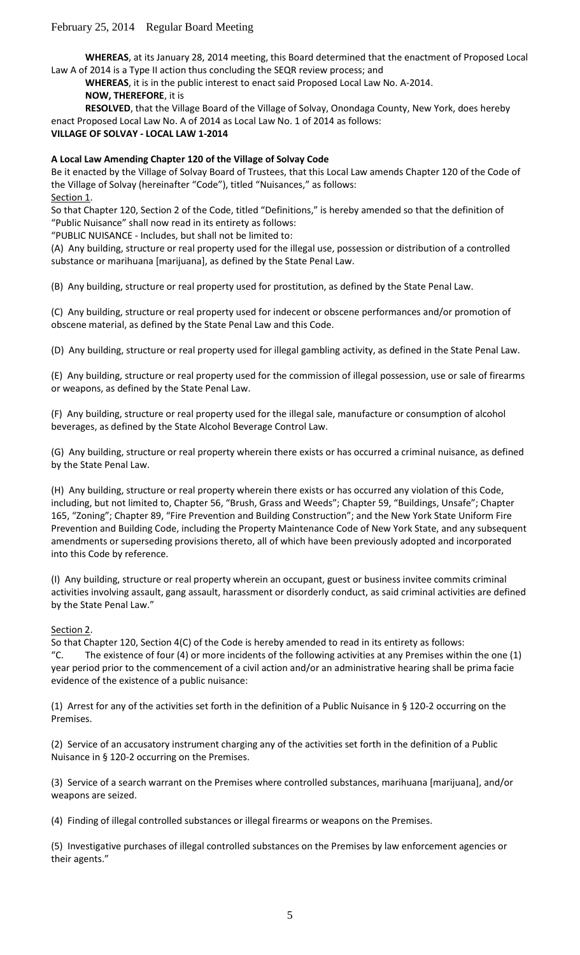**WHEREAS**, at its January 28, 2014 meeting, this Board determined that the enactment of Proposed Local Law A of 2014 is a Type II action thus concluding the SEQR review process; and

**WHEREAS**, it is in the public interest to enact said Proposed Local Law No. A-2014. **NOW, THEREFORE**, it is

**RESOLVED**, that the Village Board of the Village of Solvay, Onondaga County, New York, does hereby enact Proposed Local Law No. A of 2014 as Local Law No. 1 of 2014 as follows:

#### **VILLAGE OF SOLVAY - LOCAL LAW 1-2014**

### **A Local Law Amending Chapter 120 of the Village of Solvay Code**

Be it enacted by the Village of Solvay Board of Trustees, that this Local Law amends Chapter 120 of the Code of the Village of Solvay (hereinafter "Code"), titled "Nuisances," as follows: Section 1.

So that Chapter 120, Section 2 of the Code, titled "Definitions," is hereby amended so that the definition of "Public Nuisance" shall now read in its entirety as follows:

"PUBLIC NUISANCE - Includes, but shall not be limited to:

(A) Any building, structure or real property used for the illegal use, possession or distribution of a controlled substance or marihuana [marijuana], as defined by the State Penal Law.

(B) Any building, structure or real property used for prostitution, as defined by the State Penal Law.

(C) Any building, structure or real property used for indecent or obscene performances and/or promotion of obscene material, as defined by the State Penal Law and this Code.

(D) Any building, structure or real property used for illegal gambling activity, as defined in the State Penal Law.

(E) Any building, structure or real property used for the commission of illegal possession, use or sale of firearms or weapons, as defined by the State Penal Law.

(F) Any building, structure or real property used for the illegal sale, manufacture or consumption of alcohol beverages, as defined by the State Alcohol Beverage Control Law.

(G) Any building, structure or real property wherein there exists or has occurred a criminal nuisance, as defined by the State Penal Law.

(H) Any building, structure or real property wherein there exists or has occurred any violation of this Code, including, but not limited to, Chapter 56, "Brush, Grass and Weeds"; Chapter 59, "Buildings, Unsafe"; Chapter 165, "Zoning"; Chapter 89, "Fire Prevention and Building Construction"; and the New York State Uniform Fire Prevention and Building Code, including the Property Maintenance Code of New York State, and any subsequent amendments or superseding provisions thereto, all of which have been previously adopted and incorporated into this Code by reference.

(I) Any building, structure or real property wherein an occupant, guest or business invitee commits criminal activities involving assault, gang assault, harassment or disorderly conduct, as said criminal activities are defined by the State Penal Law."

#### Section 2.

So that Chapter 120, Section 4(C) of the Code is hereby amended to read in its entirety as follows: "C. The existence of four (4) or more incidents of the following activities at any Premises within the one (1) year period prior to the commencement of a civil action and/or an administrative hearing shall be prima facie evidence of the existence of a public nuisance:

(1) Arrest for any of the activities set forth in the definition of a Public Nuisance in § 120-2 occurring on the Premises.

(2) Service of an accusatory instrument charging any of the activities set forth in the definition of a Public Nuisance in § 120-2 occurring on the Premises.

(3) Service of a search warrant on the Premises where controlled substances, marihuana [marijuana], and/or weapons are seized.

(4) Finding of illegal controlled substances or illegal firearms or weapons on the Premises.

(5) Investigative purchases of illegal controlled substances on the Premises by law enforcement agencies or their agents."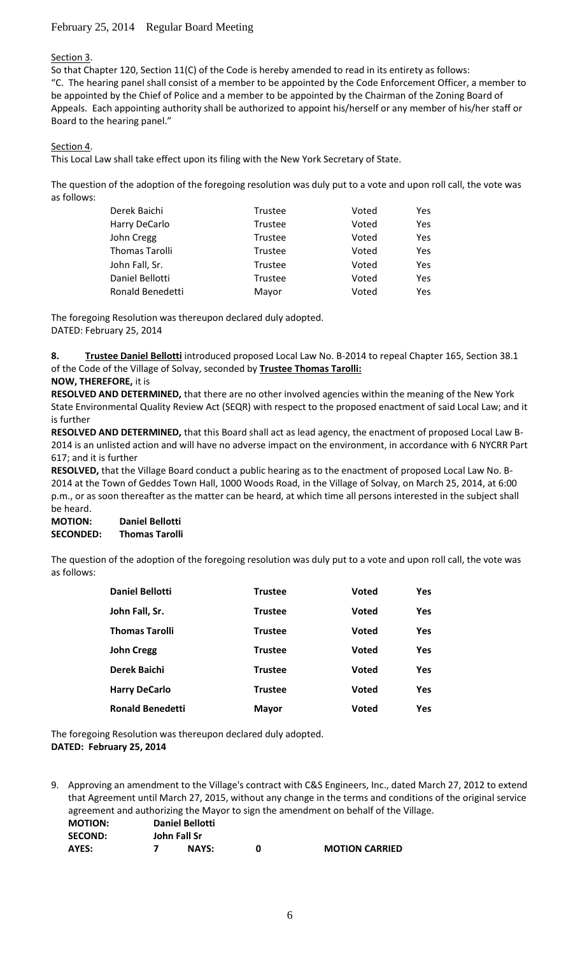### Section 3.

So that Chapter 120, Section 11(C) of the Code is hereby amended to read in its entirety as follows: "C. The hearing panel shall consist of a member to be appointed by the Code Enforcement Officer, a member to be appointed by the Chief of Police and a member to be appointed by the Chairman of the Zoning Board of Appeals. Each appointing authority shall be authorized to appoint his/herself or any member of his/her staff or Board to the hearing panel."

### Section 4.

This Local Law shall take effect upon its filing with the New York Secretary of State.

The question of the adoption of the foregoing resolution was duly put to a vote and upon roll call, the vote was as follows:

| Derek Baichi          | <b>Trustee</b> | Voted | Yes. |
|-----------------------|----------------|-------|------|
| Harry DeCarlo         | <b>Trustee</b> | Voted | Yes. |
| John Cregg            | Trustee        | Voted | Yes. |
| <b>Thomas Tarolli</b> | <b>Trustee</b> | Voted | Yes  |
| John Fall, Sr.        | <b>Trustee</b> | Voted | Yes. |
| Daniel Bellotti       | <b>Trustee</b> | Voted | Yes. |
| Ronald Benedetti      | Mayor          | Voted | Yes. |

The foregoing Resolution was thereupon declared duly adopted. DATED: February 25, 2014

**8. Trustee Daniel Bellotti** introduced proposed Local Law No. B-2014 to repeal Chapter 165, Section 38.1 of the Code of the Village of Solvay, seconded by **Trustee Thomas Tarolli:**

### **NOW, THEREFORE,** it is

**RESOLVED AND DETERMINED,** that there are no other involved agencies within the meaning of the New York State Environmental Quality Review Act (SEQR) with respect to the proposed enactment of said Local Law; and it is further

**RESOLVED AND DETERMINED,** that this Board shall act as lead agency, the enactment of proposed Local Law B-2014 is an unlisted action and will have no adverse impact on the environment, in accordance with 6 NYCRR Part 617; and it is further

**RESOLVED,** that the Village Board conduct a public hearing as to the enactment of proposed Local Law No. B-2014 at the Town of Geddes Town Hall, 1000 Woods Road, in the Village of Solvay, on March 25, 2014, at 6:00 p.m., or as soon thereafter as the matter can be heard, at which time all persons interested in the subject shall be heard.

#### **MOTION: Daniel Bellotti SECONDED: Thomas Tarolli**

The question of the adoption of the foregoing resolution was duly put to a vote and upon roll call, the vote was as follows:

| <b>Daniel Bellotti</b>  | <b>Trustee</b> | <b>Voted</b> | Yes        |
|-------------------------|----------------|--------------|------------|
| John Fall, Sr.          | <b>Trustee</b> | <b>Voted</b> | Yes        |
| <b>Thomas Tarolli</b>   | <b>Trustee</b> | <b>Voted</b> | Yes        |
| <b>John Cregg</b>       | <b>Trustee</b> | <b>Voted</b> | Yes        |
| Derek Baichi            | <b>Trustee</b> | <b>Voted</b> | Yes        |
| <b>Harry DeCarlo</b>    | <b>Trustee</b> | <b>Voted</b> | Yes        |
| <b>Ronald Benedetti</b> | <b>Mayor</b>   | <b>Voted</b> | <b>Yes</b> |

The foregoing Resolution was thereupon declared duly adopted. **DATED: February 25, 2014**

9. Approving an amendment to the Village's contract with C&S Engineers, Inc., dated March 27, 2012 to extend that Agreement until March 27, 2015, without any change in the terms and conditions of the original service agreement and authorizing the Mayor to sign the amendment on behalf of the Village. **MOTION: Daniel Bellotti SECOND: John Fall Sr**

| <b>MOTION CARRIED</b><br>AYES:<br><b>NAYS:</b> |  |
|------------------------------------------------|--|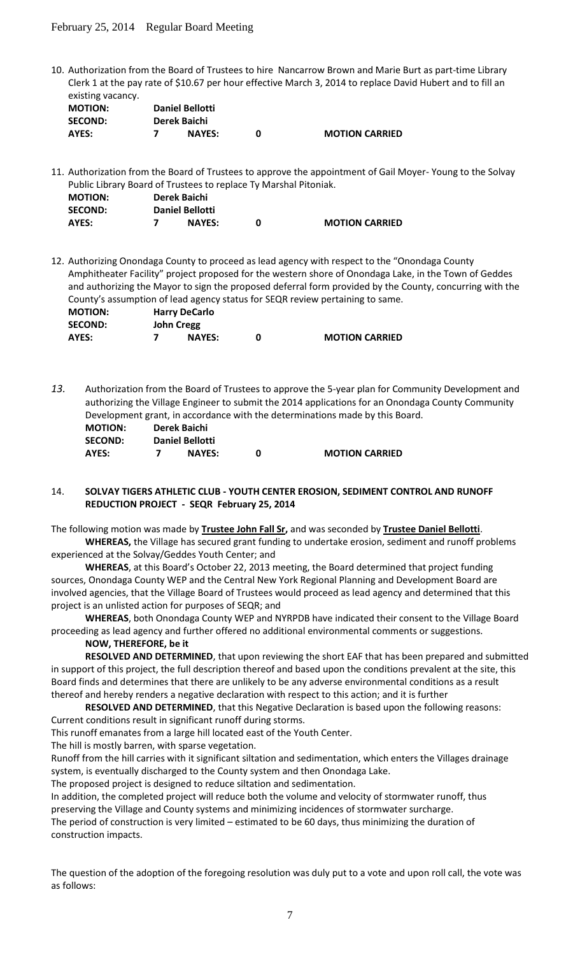10. Authorization from the Board of Trustees to hire Nancarrow Brown and Marie Burt as part-time Library Clerk 1 at the pay rate of \$10.67 per hour effective March 3, 2014 to replace David Hubert and to fill an existing vacancy.

| CAUSCHIN VUCUILLY. |                        |  |                       |  |  |
|--------------------|------------------------|--|-----------------------|--|--|
| <b>MOTION:</b>     | <b>Daniel Bellotti</b> |  |                       |  |  |
| <b>SECOND:</b>     | Derek Baichi           |  |                       |  |  |
| AYES:              | <b>NAYES:</b>          |  | <b>MOTION CARRIED</b> |  |  |

11. Authorization from the Board of Trustees to approve the appointment of Gail Moyer- Young to the Solvay Public Library Board of Trustees to replace Ty Marshal Pitoniak.

| <b>MOTION:</b> | Derek Baichi           |               |  |                       |
|----------------|------------------------|---------------|--|-----------------------|
| <b>SECOND:</b> | <b>Daniel Bellotti</b> |               |  |                       |
| AYES:          |                        | <b>NAYES:</b> |  | <b>MOTION CARRIED</b> |

12. Authorizing Onondaga County to proceed as lead agency with respect to the "Onondaga County Amphitheater Facility" project proposed for the western shore of Onondaga Lake, in the Town of Geddes and authorizing the Mayor to sign the proposed deferral form provided by the County, concurring with the County's assumption of lead agency status for SEQR review pertaining to same.

| <b>MOTION:</b> | <b>Harry DeCarlo</b> |  |                       |  |
|----------------|----------------------|--|-----------------------|--|
| <b>SECOND:</b> | John Cregg           |  |                       |  |
| AYES:          | <b>NAYES:</b>        |  | <b>MOTION CARRIED</b> |  |

*13.* Authorization from the Board of Trustees to approve the 5-year plan for Community Development and authorizing the Village Engineer to submit the 2014 applications for an Onondaga County Community Development grant, in accordance with the determinations made by this Board. **MOTION: Derek Baichi**

| <b>SECOND:</b> | Daniel Bellotti |                       |
|----------------|-----------------|-----------------------|
| AYES:          | <b>NAYES:</b>   | <b>MOTION CARRIED</b> |

#### 14. **SOLVAY TIGERS ATHLETIC CLUB - YOUTH CENTER EROSION, SEDIMENT CONTROL AND RUNOFF REDUCTION PROJECT - SEQR February 25, 2014**

The following motion was made by **Trustee John Fall Sr,** and was seconded by **Trustee Daniel Bellotti**.

**WHEREAS,** the Village has secured grant funding to undertake erosion, sediment and runoff problems experienced at the Solvay/Geddes Youth Center; and

**WHEREAS**, at this Board's October 22, 2013 meeting, the Board determined that project funding sources, Onondaga County WEP and the Central New York Regional Planning and Development Board are involved agencies, that the Village Board of Trustees would proceed as lead agency and determined that this project is an unlisted action for purposes of SEQR; and

**WHEREAS**, both Onondaga County WEP and NYRPDB have indicated their consent to the Village Board proceeding as lead agency and further offered no additional environmental comments or suggestions.

#### **NOW, THEREFORE, be it**

**RESOLVED AND DETERMINED**, that upon reviewing the short EAF that has been prepared and submitted in support of this project, the full description thereof and based upon the conditions prevalent at the site, this Board finds and determines that there are unlikely to be any adverse environmental conditions as a result thereof and hereby renders a negative declaration with respect to this action; and it is further

**RESOLVED AND DETERMINED**, that this Negative Declaration is based upon the following reasons: Current conditions result in significant runoff during storms.

This runoff emanates from a large hill located east of the Youth Center.

The hill is mostly barren, with sparse vegetation.

Runoff from the hill carries with it significant siltation and sedimentation, which enters the Villages drainage system, is eventually discharged to the County system and then Onondaga Lake.

The proposed project is designed to reduce siltation and sedimentation.

In addition, the completed project will reduce both the volume and velocity of stormwater runoff, thus preserving the Village and County systems and minimizing incidences of stormwater surcharge.

The period of construction is very limited – estimated to be 60 days, thus minimizing the duration of construction impacts.

The question of the adoption of the foregoing resolution was duly put to a vote and upon roll call, the vote was as follows: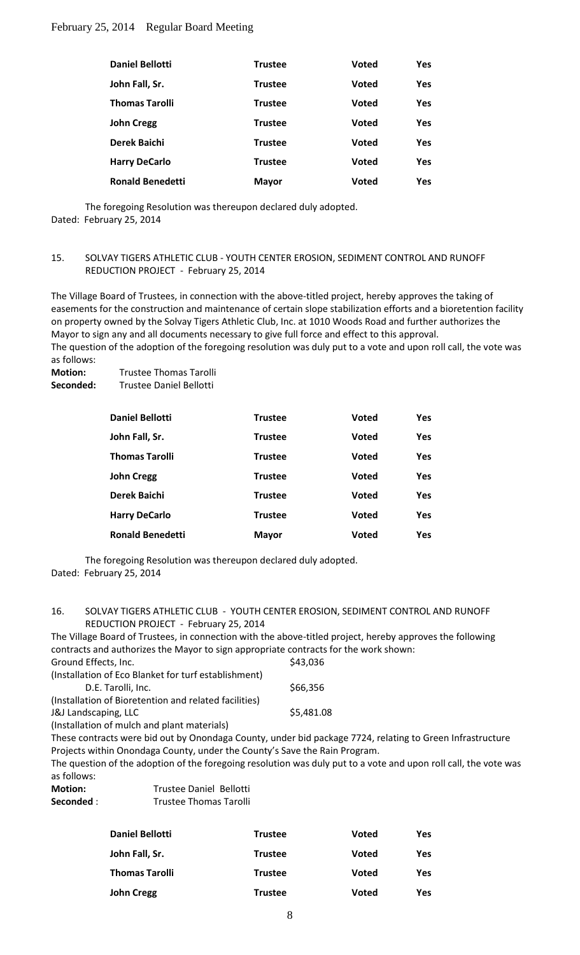| <b>Daniel Bellotti</b>  | <b>Trustee</b> | <b>Voted</b> | <b>Yes</b> |
|-------------------------|----------------|--------------|------------|
| John Fall, Sr.          | <b>Trustee</b> | <b>Voted</b> | <b>Yes</b> |
| <b>Thomas Tarolli</b>   | <b>Trustee</b> | <b>Voted</b> | <b>Yes</b> |
| <b>John Cregg</b>       | <b>Trustee</b> | <b>Voted</b> | <b>Yes</b> |
| Derek Baichi            | <b>Trustee</b> | <b>Voted</b> | Yes.       |
| <b>Harry DeCarlo</b>    | <b>Trustee</b> | <b>Voted</b> | <b>Yes</b> |
| <b>Ronald Benedetti</b> | <b>Mayor</b>   | Voted        | <b>Yes</b> |

The foregoing Resolution was thereupon declared duly adopted. Dated: February 25, 2014

#### 15. SOLVAY TIGERS ATHLETIC CLUB - YOUTH CENTER EROSION, SEDIMENT CONTROL AND RUNOFF REDUCTION PROJECT - February 25, 2014

The Village Board of Trustees, in connection with the above-titled project, hereby approves the taking of easements for the construction and maintenance of certain slope stabilization efforts and a bioretention facility on property owned by the Solvay Tigers Athletic Club, Inc. at 1010 Woods Road and further authorizes the Mayor to sign any and all documents necessary to give full force and effect to this approval.

The question of the adoption of the foregoing resolution was duly put to a vote and upon roll call, the vote was as follows:

**Motion:** Trustee Thomas Tarolli Seconded: Trustee Daniel Bellotti

| <b>Daniel Bellotti</b>  | <b>Trustee</b> | <b>Voted</b> | Yes        |
|-------------------------|----------------|--------------|------------|
| John Fall, Sr.          | <b>Trustee</b> | <b>Voted</b> | <b>Yes</b> |
| <b>Thomas Tarolli</b>   | <b>Trustee</b> | <b>Voted</b> | <b>Yes</b> |
| <b>John Cregg</b>       | <b>Trustee</b> | <b>Voted</b> | <b>Yes</b> |
| Derek Baichi            | <b>Trustee</b> | <b>Voted</b> | <b>Yes</b> |
| <b>Harry DeCarlo</b>    | <b>Trustee</b> | <b>Voted</b> | Yes        |
| <b>Ronald Benedetti</b> | <b>Mayor</b>   | <b>Voted</b> | Yes        |

The foregoing Resolution was thereupon declared duly adopted. Dated: February 25, 2014

16. SOLVAY TIGERS ATHLETIC CLUB - YOUTH CENTER EROSION, SEDIMENT CONTROL AND RUNOFF REDUCTION PROJECT - February 25, 2014

The Village Board of Trustees, in connection with the above-titled project, hereby approves the following contracts and authorizes the Mayor to sign appropriate contracts for the work shown:<br>Cround Effects, lps  $S$ round Effects, Inc.

| Ground Effects, Inc.                                  | <b>943,030</b> |
|-------------------------------------------------------|----------------|
| (Installation of Eco Blanket for turf establishment)  |                |
| D.E. Tarolli, Inc.                                    | \$66,356       |
| (Installation of Bioretention and related facilities) |                |
| <b>J&amp;J Landscaping, LLC</b>                       | \$5,481.08     |
| $\lambda$ . If $\lambda$ . The set of $\lambda$       |                |

(Installation of mulch and plant materials)

These contracts were bid out by Onondaga County, under bid package 7724, relating to Green Infrastructure Projects within Onondaga County, under the County's Save the Rain Program.

The question of the adoption of the foregoing resolution was duly put to a vote and upon roll call, the vote was as follows:

| <b>Motion:</b> | Trustee Daniel Bellotti       |
|----------------|-------------------------------|
| Seconded :     | <b>Trustee Thomas Tarolli</b> |

| <b>Daniel Bellotti</b> | <b>Trustee</b> | <b>Voted</b> | Yes |
|------------------------|----------------|--------------|-----|
| John Fall, Sr.         | <b>Trustee</b> | <b>Voted</b> | Yes |
| <b>Thomas Tarolli</b>  | <b>Trustee</b> | <b>Voted</b> | Yes |
| John Cregg             | <b>Trustee</b> | <b>Voted</b> | Yes |